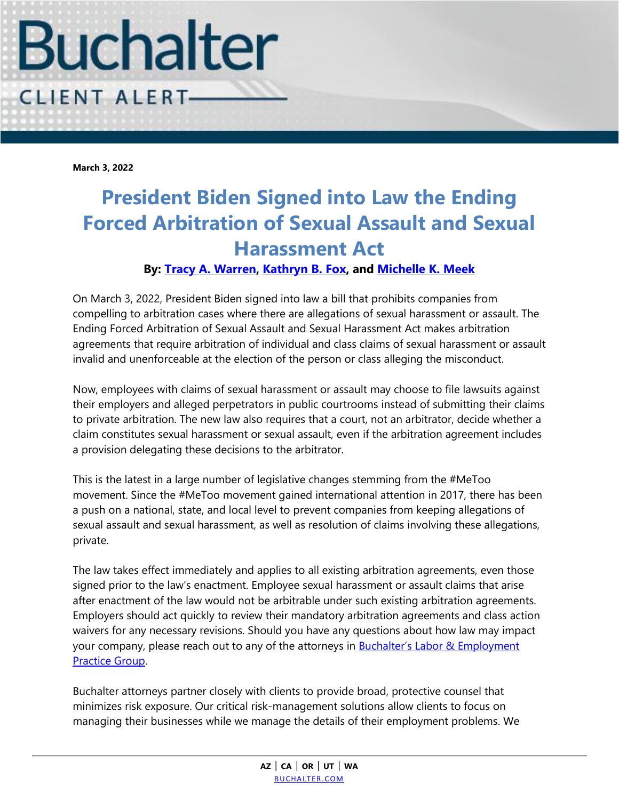

**March 3, 2022**

## **President Biden Signed into Law the Ending Forced Arbitration of Sexual Assault and Sexual Harassment Act**

## **By: [Tracy A. Warren,](https://www.buchalter.com/attorneys/tracy-a-warren/#bio) [Kathryn B. Fox,](https://www.buchalter.com/attorneys/kathryn-b-fox/#bio) and [Michelle K. Meek](https://www.buchalter.com/attorneys/michelle-k-meek/#bio)**

On March 3, 2022, President Biden signed into law a bill that prohibits companies from compelling to arbitration cases where there are allegations of sexual harassment or assault. The Ending Forced Arbitration of Sexual Assault and Sexual Harassment Act makes arbitration agreements that require arbitration of individual and class claims of sexual harassment or assault invalid and unenforceable at the election of the person or class alleging the misconduct.

Now, employees with claims of sexual harassment or assault may choose to file lawsuits against their employers and alleged perpetrators in public courtrooms instead of submitting their claims to private arbitration. The new law also requires that a court, not an arbitrator, decide whether a claim constitutes sexual harassment or sexual assault, even if the arbitration agreement includes a provision delegating these decisions to the arbitrator.

This is the latest in a large number of legislative changes stemming from the #MeToo movement. Since the #MeToo movement gained international attention in 2017, there has been a push on a national, state, and local level to prevent companies from keeping allegations of sexual assault and sexual harassment, as well as resolution of claims involving these allegations, private.

The law takes effect immediately and applies to all existing arbitration agreements, even those signed prior to the law's enactment. Employee sexual harassment or assault claims that arise after enactment of the law would not be arbitrable under such existing arbitration agreements. Employers should act quickly to review their mandatory arbitration agreements and class action waivers for any necessary revisions. Should you have any questions about how law may impact your company, please reach out to any of the attorneys in **Buchalter's Labor & Employment** [Practice Group.](https://www.buchalter.com/practice-area/labor-employment-law/#overview)

Buchalter attorneys partner closely with clients to provide broad, protective counsel that minimizes risk exposure. Our critical risk-management solutions allow clients to focus on managing their businesses while we manage the details of their employment problems. We